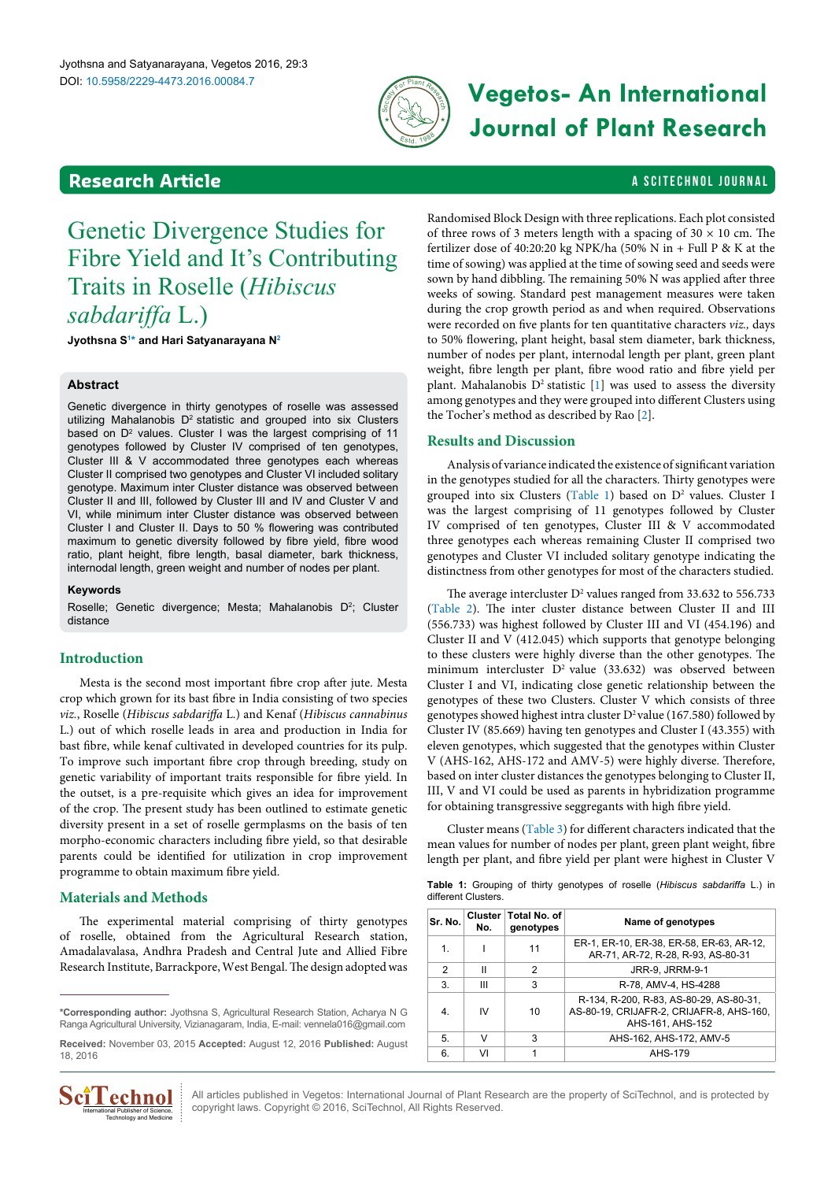

# DOI: 10.5958/2229-4473.2016.00084.7 **Vegetos- An International Journal of Plant Research**

### <span id="page-0-2"></span>**Research Article a Scittering Control in the Scittering Control in the Scittering Article is a Scittering Library of Article is a Scittering Library of Article is a Scittering Control in the Scittering Control in the Sc**

## Genetic Divergence Studies for Fibre Yield and It's Contributing Traits in Roselle (*Hibiscus sabdariffa* L.)

**Jyothsna S[1](#page-1-0) [\\*](#page-0-0) and Hari Satyanarayana N[2](#page-1-1)**

#### **Abstract**

Genetic divergence in thirty genotypes of roselle was assessed utilizing Mahalanobis D<sup>2</sup> statistic and grouped into six Clusters based on D<sup>2</sup> values. Cluster I was the largest comprising of 11 genotypes followed by Cluster IV comprised of ten genotypes, Cluster III & V accommodated three genotypes each whereas Cluster II comprised two genotypes and Cluster VI included solitary genotype. Maximum inter Cluster distance was observed between Cluster II and III, followed by Cluster III and IV and Cluster V and VI, while minimum inter Cluster distance was observed between Cluster I and Cluster II. Days to 50 % flowering was contributed maximum to genetic diversity followed by fibre yield, fibre wood ratio, plant height, fibre length, basal diameter, bark thickness, internodal length, green weight and number of nodes per plant.

#### **Keywords**

Roselle; Genetic divergence; Mesta; Mahalanobis D<sup>2</sup>; Cluster distance

#### **Introduction**

Mesta is the second most important fibre crop after jute. Mesta crop which grown for its bast fibre in India consisting of two species *viz.*, Roselle (*Hibiscus sabdariffa* L.) and Kenaf (*Hibiscus cannabinus*  L.) out of which roselle leads in area and production in India for bast fibre, while kenaf cultivated in developed countries for its pulp. To improve such important fibre crop through breeding, study on genetic variability of important traits responsible for fibre yield. In the outset, is a pre-requisite which gives an idea for improvement of the crop. The present study has been outlined to estimate genetic diversity present in a set of roselle germplasms on the basis of ten morpho-economic characters including fibre yield, so that desirable parents could be identified for utilization in crop improvement programme to obtain maximum fibre yield.

#### **Materials and Methods**

The experimental material comprising of thirty genotypes of roselle, obtained from the Agricultural Research station, Amadalavalasa, Andhra Pradesh and Central Jute and Allied Fibre Research Institute, Barrackpore, West Bengal. The design adopted was

<span id="page-0-0"></span>**\*Corresponding author:** Jyothsna S, Agricultural Research Station, Acharya N G Ranga Agricultural University, Vizianagaram, India, E-mail: vennela016@gmail.com

**Received:** November 03, 2015 **Accepted:** August 12, 2016 **Published:** August 18, 2016



Randomised Block Design with three replications. Each plot consisted of three rows of 3 meters length with a spacing of  $30 \times 10$  cm. The fertilizer dose of 40:20:20 kg NPK/ha (50% N in + Full P & K at the time of sowing) was applied at the time of sowing seed and seeds were sown by hand dibbling. The remaining 50% N was applied after three weeks of sowing. Standard pest management measures were taken during the crop growth period as and when required. Observations were recorded on five plants for ten quantitative characters *viz.,* days to 50% flowering, plant height, basal stem diameter, bark thickness, number of nodes per plant, internodal length per plant, green plant weight, fibre length per plant, fibre wood ratio and fibre yield per plant. Mahalanobis  $D^2$  statistic [\[1](#page-1-2)] was used to assess the diversity among genotypes and they were grouped into different Clusters using the Tocher's method as described by Rao [\[2\]](#page-1-3).

#### **Results and Discussion**

Analysis of variance indicated the existence of significant variation in the genotypes studied for all the characters. Thirty genotypes were grouped into six Clusters ([Table](#page-0-1) 1) based on  $D^2$  values. Cluster I was the largest comprising of 11 genotypes followed by Cluster IV comprised of ten genotypes, Cluster III & V accommodated three genotypes each whereas remaining Cluster II comprised two genotypes and Cluster VI included solitary genotype indicating the distinctness from other genotypes for most of the characters studied.

The average intercluster  $D^2$  values ranged from 33.632 to 556.733 ([Table](#page-1-4) 2). The inter cluster distance between Cluster II and III (556.733) was highest followed by Cluster III and VI (454.196) and Cluster II and V (412.045) which supports that genotype belonging to these clusters were highly diverse than the other genotypes. The minimum intercluster  $D^2$  value (33.632) was observed between Cluster I and VI, indicating close genetic relationship between the genotypes of these two Clusters. Cluster V which consists of three genotypes showed highest intra cluster  $D^2$  value (167.580) followed by Cluster IV (85.669) having ten genotypes and Cluster I (43.355) with eleven genotypes, which suggested that the genotypes within Cluster V (AHS-162, AHS-172 and AMV-5) were highly diverse. Therefore, based on inter cluster distances the genotypes belonging to Cluster II, III, V and VI could be used as parents in hybridization programme for obtaining transgressive seggregants with high fibre yield.

Cluster means [\(Table](#page-1-5) 3) for different characters indicated that the mean values for number of nodes per plant, green plant weight, fibre length per plant, and fibre yield per plant were highest in Cluster V

**Table 1:** Grouping of thirty genotypes of roselle (*Hibiscus sabdariffa* L.) in different Clusters.

<span id="page-0-1"></span>

| Sr. No. | Cluster  <br>No. | Total No. of<br>genotypes | Name of genotypes                                                                                       |
|---------|------------------|---------------------------|---------------------------------------------------------------------------------------------------------|
| 1.      |                  | 11                        | ER-1, ER-10, ER-38, ER-58, ER-63, AR-12,<br>AR-71, AR-72, R-28, R-93, AS-80-31                          |
| 2       | Ш                | 2                         | JRR-9, JRRM-9-1                                                                                         |
| 3.      | Ш                | 3                         | R-78, AMV-4, HS-4288                                                                                    |
| 4.      | IV               | 10                        | R-134, R-200, R-83, AS-80-29, AS-80-31,<br>AS-80-19, CRIJAFR-2, CRIJAFR-8, AHS-160,<br>AHS-161, AHS-152 |
| 5.      | v                | 3                         | AHS-162, AHS-172, AMV-5                                                                                 |
| 6.      | VI               |                           | AHS-179                                                                                                 |

All articles published in Vegetos: International Journal of Plant Research are the property of SciTechnol, and is protected by copyright laws. Copyright © 2016, SciTechnol, All Rights Reserved.